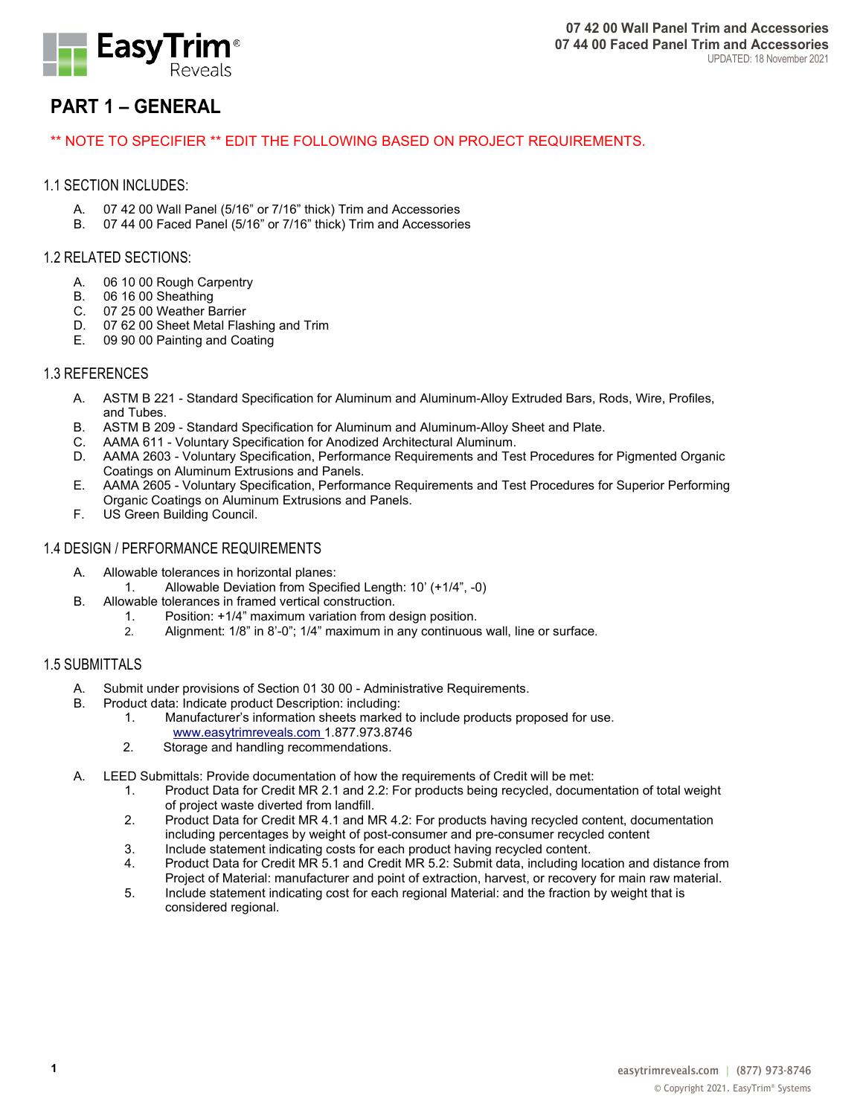

# **PART 1 – GENERAL**

## \*\* NOTE TO SPECIFIER \*\* EDIT THE FOLLOWING BASED ON PROJECT REQUIREMENTS.

## 1.1 SECTION INCLUDES:

- A. 07 42 00 Wall Panel (5/16" or 7/16" thick) Trim and Accessories
- 07 44 00 Faced Panel (5/16" or 7/16" thick) Trim and Accessories

## 1.2 RELATED SECTIONS:

- A. 06 10 00 Rough Carpentry
- B. 06 16 00 Sheathing
- C. 07 25 00 Weather Barrier
- D. 07 62 00 Sheet Metal Flashing and Trim<br>E. 09 90 00 Painting and Coating
- 09 90 00 Painting and Coating

## 1.3 REFERENCES

- A. ASTM B 221 Standard Specification for Aluminum and Aluminum-Alloy Extruded Bars, Rods, Wire, Profiles, and Tubes.
- B. ASTM B 209 Standard Specification for Aluminum and Aluminum-Alloy Sheet and Plate.
- C. AAMA 611 Voluntary Specification for Anodized Architectural Aluminum.<br>D. AAMA 2603 Voluntary Specification, Performance Requirements and Te
- AAMA 2603 Voluntary Specification, Performance Requirements and Test Procedures for Pigmented Organic Coatings on Aluminum Extrusions and Panels.
- E. AAMA 2605 Voluntary Specification, Performance Requirements and Test Procedures for Superior Performing Organic Coatings on Aluminum Extrusions and Panels.
- F. US Green Building Council.

## 1.4 DESIGN / PERFORMANCE REQUIREMENTS

- A. Allowable tolerances in horizontal planes:
	- 1. Allowable Deviation from Specified Length: 10' (+1/4", -0)
- B. Allowable tolerances in framed vertical construction.
	- 1. Position: +1/4" maximum variation from design position.<br>2. Alignment: 1/8" in 8'-0": 1/4" maximum in any continuous
	- 2. Alignment: 1/8" in 8'-0"; 1/4" maximum in any continuous wall, line or surface.

## 1.5 SUBMITTALS

- A. Submit under provisions of Section 01 30 00 Administrative Requirements.
- B. Product data: Indicate product Description: including:
	- 1. Manufacturer's information sheets marked to include products proposed for use. www.easytrimreveals.com 1.877.973.8746
	- 2. Storage and handling recommendations.
- A. LEED Submittals: Provide documentation of how the requirements of Credit will be met:
	- 1. Product Data for Credit MR 2.1 and 2.2: For products being recycled, documentation of total weight of project waste diverted from landfill.
	- 2. Product Data for Credit MR 4.1 and MR 4.2: For products having recycled content, documentation including percentages by weight of post-consumer and pre-consumer recycled content
	- 3. Include statement indicating costs for each product having recycled content.
	- 4. Product Data for Credit MR 5.1 and Credit MR 5.2: Submit data, including location and distance from Project of Material: manufacturer and point of extraction, harvest, or recovery for main raw material.
	- 5. Include statement indicating cost for each regional Material: and the fraction by weight that is considered regional.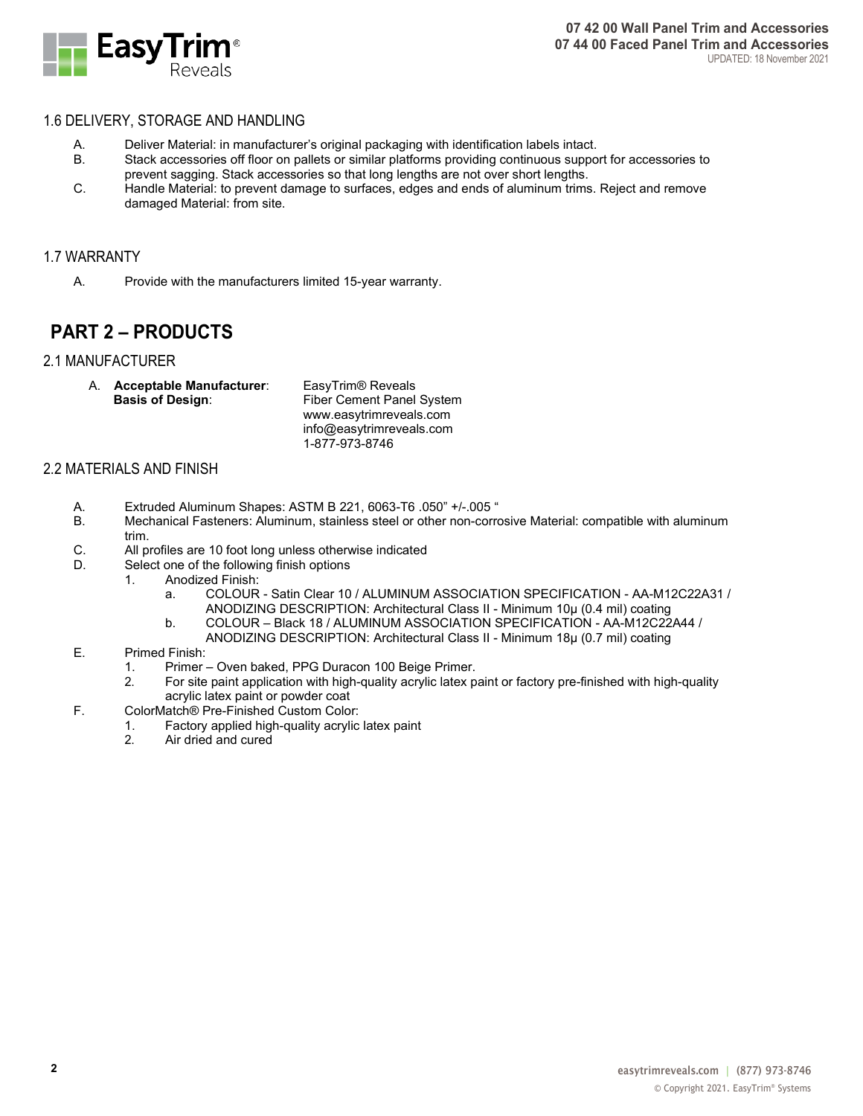

## 1.6 DELIVERY, STORAGE AND HANDLING

- A. Deliver Material: in manufacturer's original packaging with identification labels intact.
- B. Stack accessories off floor on pallets or similar platforms providing continuous support for accessories to prevent sagging. Stack accessories so that long lengths are not over short lengths.
- C. Handle Material: to prevent damage to surfaces, edges and ends of aluminum trims. Reject and remove damaged Material: from site.

## 1.7 WARRANTY

A. Provide with the manufacturers limited 15-year warranty.

# **PART 2 – PRODUCTS**

## 2.1 MANUFACTURER

A. **Acceptable Manufacturer**: EasyTrim® Reveals

**Fiber Cement Panel System** www.easytrimreveals.com info@easytrimreveals.com 1-877-973-8746

## 2.2 MATERIALS AND FINISH

- A. Extruded Aluminum Shapes: ASTM B 221, 6063-T6 .050" +/-.005 "<br>B. Mechanical Fasteners: Aluminum, stainless steel or other non-corre
- Mechanical Fasteners: Aluminum, stainless steel or other non-corrosive Material: compatible with aluminum trim.
- C. All profiles are 10 foot long unless otherwise indicated
- D. Select one of the following finish options
	- 1. Anodized Finish:
		- a. COLOUR Satin Clear 10 / ALUMINUM ASSOCIATION SPECIFICATION AA-M12C22A31 / ANODIZING DESCRIPTION: Architectural Class II - Minimum 10μ (0.4 mil) coating
		- b. COLOUR Black 18 / ALUMINUM ASSOCIATION SPECIFICATION AA-M12C22A44 /
			- ANODIZING DESCRIPTION: Architectural Class II Minimum 18μ (0.7 mil) coating

#### E. Primed Finish:

- 1. Primer Oven baked, PPG Duracon 100 Beige Primer.<br>2. For site paint application with high-quality acrylic latex p
- 2. For site paint application with high-quality acrylic latex paint or factory pre-finished with high-quality acrylic latex paint or powder coat
- F. ColorMatch® Pre-Finished Custom Color:
	- 1. Factory applied high-quality acrylic latex paint
	- Air dried and cured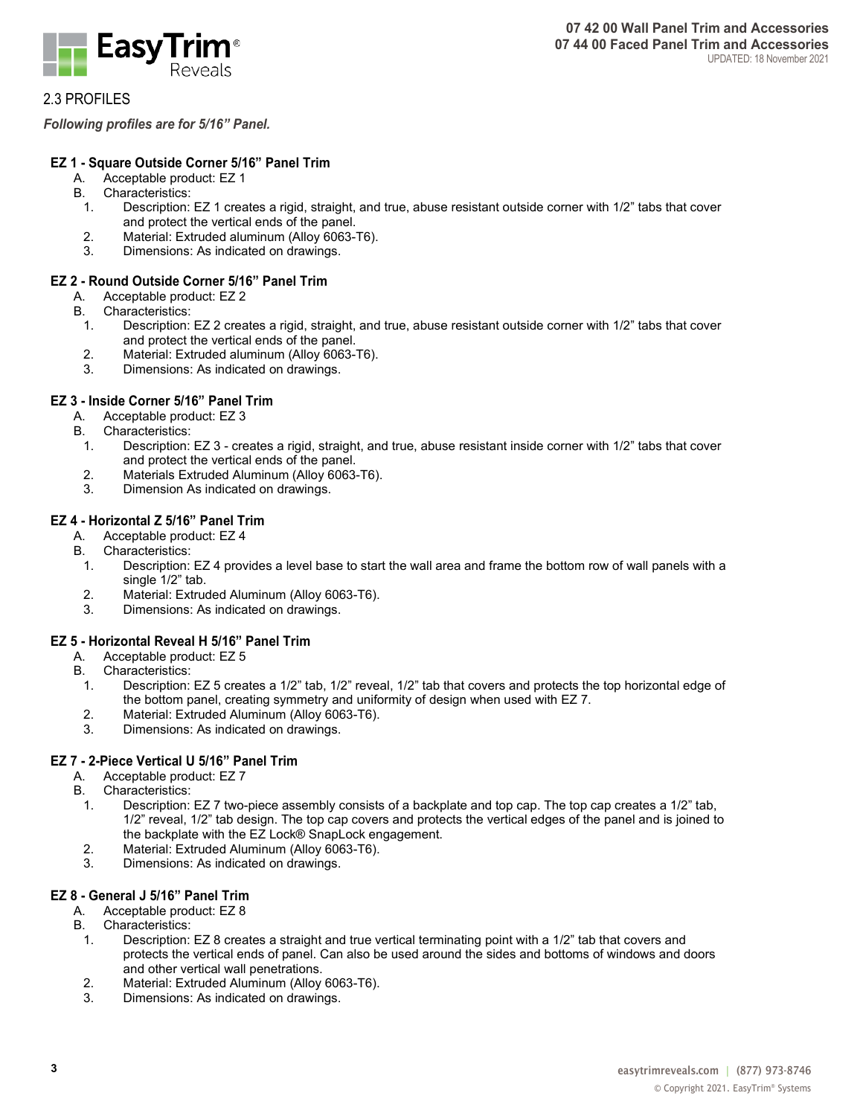

2.3 PROFILES

*Following profiles are for 5/16" Panel.*

## **EZ 1 - Square Outside Corner 5/16" Panel Trim**

- A. Acceptable product: EZ 1
- B. Characteristics:
	- 1. Description: EZ 1 creates a rigid, straight, and true, abuse resistant outside corner with 1/2" tabs that cover and protect the vertical ends of the panel.
	- 2. Material: Extruded aluminum (Alloy 6063-T6).
	- 3. Dimensions: As indicated on drawings.

## **EZ 2 - Round Outside Corner 5/16" Panel Trim**

- A. Acceptable product: EZ 2
- B. Characteristics:
- 1. Description: EZ 2 creates a rigid, straight, and true, abuse resistant outside corner with 1/2" tabs that cover and protect the vertical ends of the panel.
- 2. Material: Extruded aluminum (Alloy 6063-T6).
- 3. Dimensions: As indicated on drawings.

## **EZ 3 - Inside Corner 5/16" Panel Trim**

- A. Acceptable product: EZ 3
- B. Characteristics:
- 1. Description: EZ 3 creates a rigid, straight, and true, abuse resistant inside corner with 1/2" tabs that cover and protect the vertical ends of the panel.
- 2. Materials Extruded Aluminum (Alloy 6063-T6).<br>3. Dimension As indicated on drawings.
- Dimension As indicated on drawings.

## **EZ 4 - Horizontal Z 5/16" Panel Trim**

- A. Acceptable product: EZ 4
- B. Characteristics:
- 1. Description: EZ 4 provides a level base to start the wall area and frame the bottom row of wall panels with a single 1/2" tab.
- 2. Material: Extruded Aluminum (Alloy 6063-T6).
- 3. Dimensions: As indicated on drawings.

## **EZ 5 - Horizontal Reveal H 5/16" Panel Trim**

- A. Acceptable product: EZ 5<br>B. Characteristics:
- Characteristics:
- 1. Description: EZ 5 creates a 1/2" tab, 1/2" reveal, 1/2" tab that covers and protects the top horizontal edge of the bottom panel, creating symmetry and uniformity of design when used with EZ 7.
- 2. Material: Extruded Aluminum (Alloy 6063-T6).<br>3. Dimensions: As indicated on drawings.
- Dimensions: As indicated on drawings.

## **EZ 7 - 2-Piece Vertical U 5/16" Panel Trim**

- A. Acceptable product: EZ 7<br>B. Characteristics:
- Characteristics:
- 1. Description: EZ 7 two-piece assembly consists of a backplate and top cap. The top cap creates a 1/2" tab, 1/2" reveal, 1/2" tab design. The top cap covers and protects the vertical edges of the panel and is joined to the backplate with the EZ Lock® SnapLock engagement.
- 2. Material: Extruded Aluminum (Alloy 6063-T6).
- Dimensions: As indicated on drawings.

## **EZ 8 - General J 5/16" Panel Trim**

- A. Acceptable product: EZ 8
- B. Characteristics:<br>1. Description:
	- Description: EZ 8 creates a straight and true vertical terminating point with a 1/2" tab that covers and protects the vertical ends of panel. Can also be used around the sides and bottoms of windows and doors and other vertical wall penetrations.
	- 2. Material: Extruded Aluminum (Alloy 6063-T6).
	- 3. Dimensions: As indicated on drawings.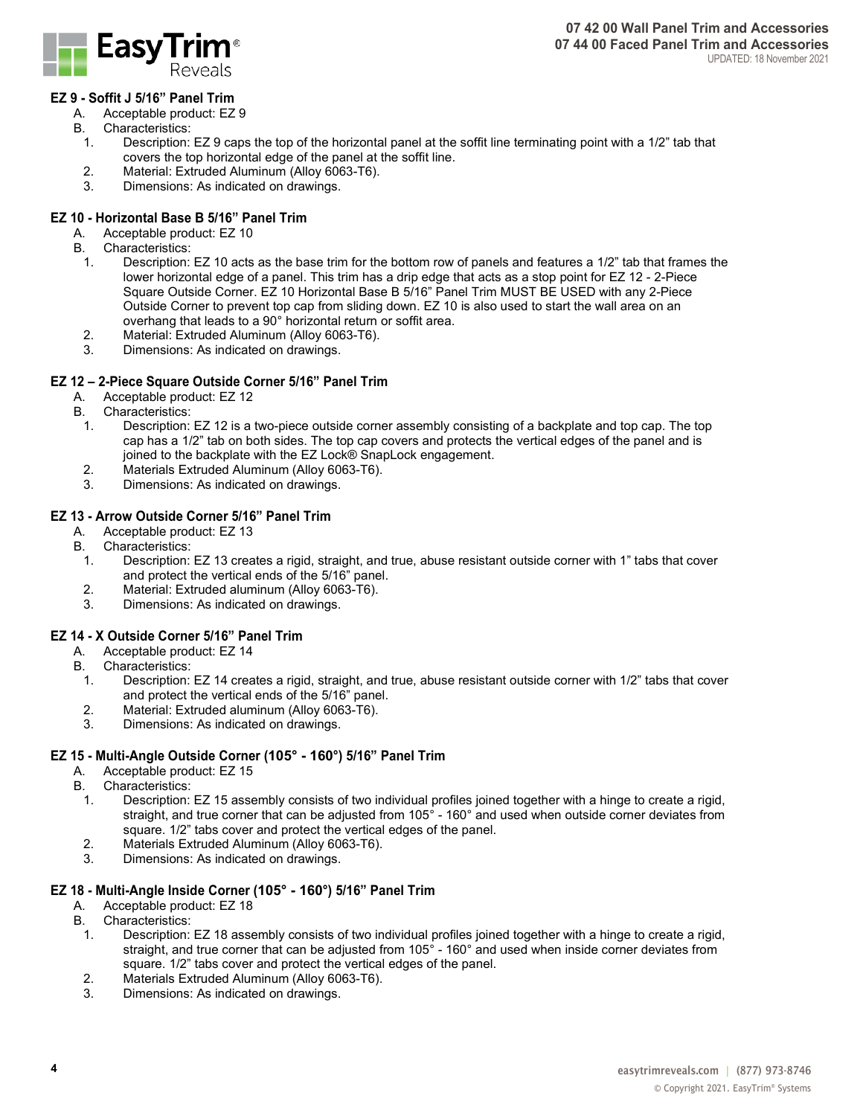

## **EZ 9 - Soffit J 5/16" Panel Trim**

- A. Acceptable product: EZ 9
- B. Characteristics:<br>1. Description:
	- Description: EZ 9 caps the top of the horizontal panel at the soffit line terminating point with a 1/2" tab that covers the top horizontal edge of the panel at the soffit line.
- 2. Material: Extruded Aluminum (Alloy 6063-T6).
- 3. Dimensions: As indicated on drawings.

## **EZ 10 - Horizontal Base B 5/16" Panel Trim**

- A. Acceptable product: EZ 10
- B. Characteristics:
	- 1. Description: EZ 10 acts as the base trim for the bottom row of panels and features a 1/2" tab that frames the lower horizontal edge of a panel. This trim has a drip edge that acts as a stop point for EZ 12 - 2-Piece Square Outside Corner. EZ 10 Horizontal Base B 5/16" Panel Trim MUST BE USED with any 2-Piece Outside Corner to prevent top cap from sliding down. EZ 10 is also used to start the wall area on an overhang that leads to a 90° horizontal return or soffit area.
- 2. Material: Extruded Aluminum (Alloy 6063-T6).
- 3. Dimensions: As indicated on drawings.

#### **EZ 12 – 2-Piece Square Outside Corner 5/16" Panel Trim**

- A. Acceptable product: EZ 12
- B. Characteristics:
	- 1. Description: EZ 12 is a two-piece outside corner assembly consisting of a backplate and top cap. The top cap has a 1/2" tab on both sides. The top cap covers and protects the vertical edges of the panel and is joined to the backplate with the EZ Lock® SnapLock engagement.
	- 2. Materials Extruded Aluminum (Alloy 6063-T6).
	- 3. Dimensions: As indicated on drawings.

## **EZ 13 - Arrow Outside Corner 5/16" Panel Trim**

- A. Acceptable product: EZ 13
- B. Characteristics:
	- 1. Description: EZ 13 creates a rigid, straight, and true, abuse resistant outside corner with 1" tabs that cover and protect the vertical ends of the 5/16" panel.
- 2. Material: Extruded aluminum (Alloy 6063-T6).<br>3. Dimensions: As indicated on drawings.
- Dimensions: As indicated on drawings.

#### **EZ 14 - X Outside Corner 5/16" Panel Trim**

- A. Acceptable product: EZ 14<br>B. Characteristics:
- . Characteristics:<br>1. Description:
- Description: EZ 14 creates a rigid, straight, and true, abuse resistant outside corner with 1/2" tabs that cover and protect the vertical ends of the 5/16" panel.
- 2. Material: Extruded aluminum (Alloy 6063-T6).
- 3. Dimensions: As indicated on drawings.

#### **EZ 15 - Multi-Angle Outside Corner (105° - 160°) 5/16" Panel Trim**

- A. Acceptable product: EZ 15
- B. Characteristics:
	- 1. Description: EZ 15 assembly consists of two individual profiles joined together with a hinge to create a rigid, straight, and true corner that can be adjusted from 105° - 160° and used when outside corner deviates from square. 1/2" tabs cover and protect the vertical edges of the panel.
	- 2. Materials Extruded Aluminum (Alloy 6063-T6).
	- 3. Dimensions: As indicated on drawings.

#### **EZ 18 - Multi-Angle Inside Corner (105° - 160°) 5/16" Panel Trim**

- A. Acceptable product: EZ 18<br>B. Characteristics:
- . Characteristics:<br>1. Description:
	- 1. Description: EZ 18 assembly consists of two individual profiles joined together with a hinge to create a rigid, straight, and true corner that can be adjusted from 105° - 160° and used when inside corner deviates from square. 1/2" tabs cover and protect the vertical edges of the panel.
- 2. Materials Extruded Aluminum (Alloy 6063-T6).<br>3. Dimensions: As indicated on drawings.
- Dimensions: As indicated on drawings.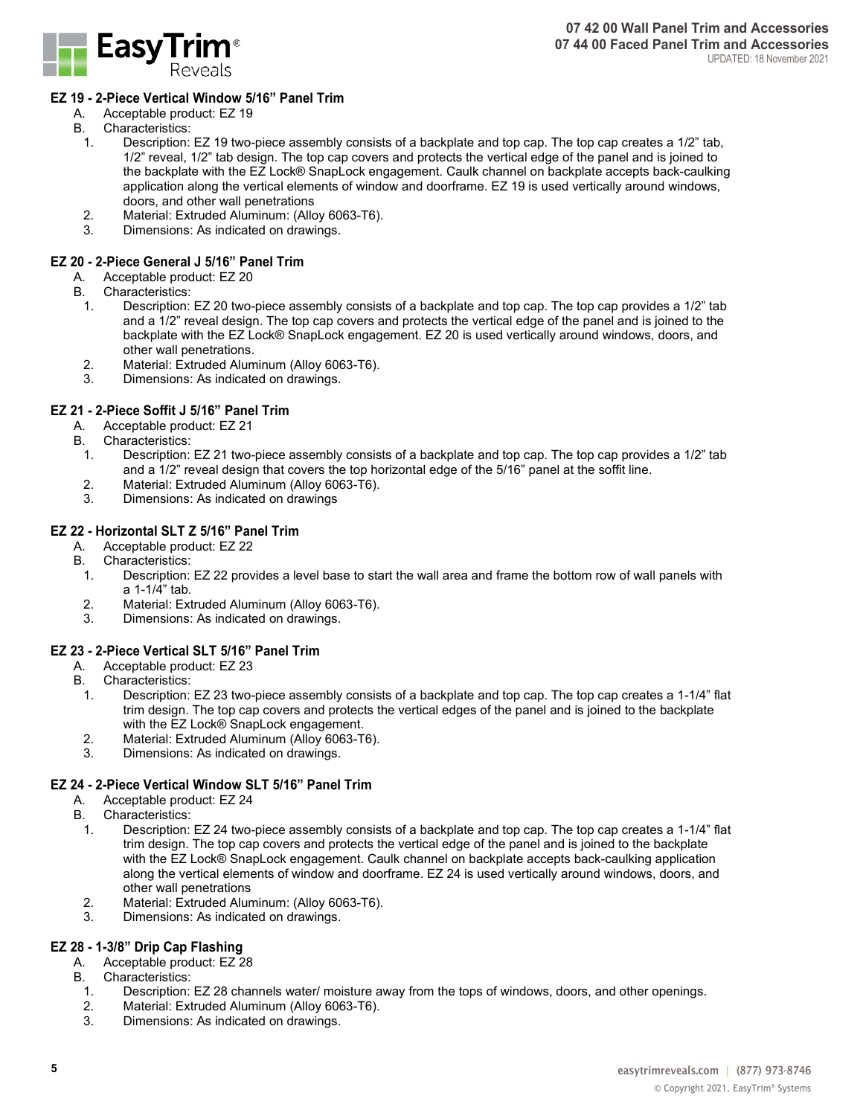

## **EZ 19 - 2-Piece Vertical Window 5/16" Panel Trim**

- A. Acceptable product: EZ 19<br>B. Characteristics:
	- **Characteristics:**<br>1. Description:
		- Description: EZ 19 two-piece assembly consists of a backplate and top cap. The top cap creates a 1/2" tab, 1/2" reveal, 1/2" tab design. The top cap covers and protects the vertical edge of the panel and is joined to the backplate with the EZ Lock® SnapLock engagement. Caulk channel on backplate accepts back-caulking application along the vertical elements of window and doorframe. EZ 19 is used vertically around windows, doors, and other wall penetrations
	- 2. Material: Extruded Aluminum: (Alloy 6063-T6).
	- Dimensions: As indicated on drawings.

#### **EZ 20 - 2-Piece General J 5/16" Panel Trim**

- A. Acceptable product: EZ 20
- B. Characteristics:
	- 1. Description: EZ 20 two-piece assembly consists of a backplate and top cap. The top cap provides a 1/2" tab and a 1/2" reveal design. The top cap covers and protects the vertical edge of the panel and is joined to the backplate with the EZ Lock® SnapLock engagement. EZ 20 is used vertically around windows, doors, and other wall penetrations.
	- 2. Material: Extruded Aluminum (Alloy 6063-T6).
- Dimensions: As indicated on drawings.

#### **EZ 21 - 2-Piece Soffit J 5/16" Panel Trim**

- A. Acceptable product: EZ 21
- B. Characteristics:<br>1. Description:
	- Description: EZ 21 two-piece assembly consists of a backplate and top cap. The top cap provides a 1/2" tab and a 1/2" reveal design that covers the top horizontal edge of the 5/16" panel at the soffit line.
- 2. Material: Extruded Aluminum (Alloy 6063-T6).
- Dimensions: As indicated on drawings

#### **EZ 22 - Horizontal SLT Z 5/16" Panel Trim**

- A. Acceptable product: EZ 22
- B. Characteristics:
	- 1. Description: EZ 22 provides a level base to start the wall area and frame the bottom row of wall panels with a 1-1/4" tab.
- 2. Material: Extruded Aluminum (Alloy 6063-T6).<br>3. Dimensions: As indicated on drawings
- Dimensions: As indicated on drawings.

#### **EZ 23 - 2-Piece Vertical SLT 5/16" Panel Trim**

- A. Acceptable product: EZ 23<br>B. Characteristics:
- . Characteristics:<br>1. Description:
- Description: EZ 23 two-piece assembly consists of a backplate and top cap. The top cap creates a 1-1/4" flat trim design. The top cap covers and protects the vertical edges of the panel and is joined to the backplate with the EZ Lock® SnapLock engagement.
- 2. Material: Extruded Aluminum (Alloy 6063-T6).<br>3. Dimensions: As indicated on drawings.
- Dimensions: As indicated on drawings.

#### **EZ 24 - 2-Piece Vertical Window SLT 5/16" Panel Trim**

- A. Acceptable product: EZ 24<br>B. Characteristics:
- . Characteristics:<br>1. Description:
- Description: EZ 24 two-piece assembly consists of a backplate and top cap. The top cap creates a 1-1/4" flat trim design. The top cap covers and protects the vertical edge of the panel and is joined to the backplate with the EZ Lock® SnapLock engagement. Caulk channel on backplate accepts back-caulking application along the vertical elements of window and doorframe. EZ 24 is used vertically around windows, doors, and other wall penetrations
- 2. Material: Extruded Aluminum: (Alloy 6063-T6).
- 3. Dimensions: As indicated on drawings.

#### **EZ 28 - 1-3/8" Drip Cap Flashing**

- A. Acceptable product: EZ 28
- B. Characteristics:
	- 1. Description: EZ 28 channels water/ moisture away from the tops of windows, doors, and other openings.<br>2. Material: Extruded Aluminum (Allov 6063-T6).
- 2. Material: Extruded Aluminum (Alloy 6063-T6).<br>3 Dimensions: As indicated on drawings
- Dimensions: As indicated on drawings.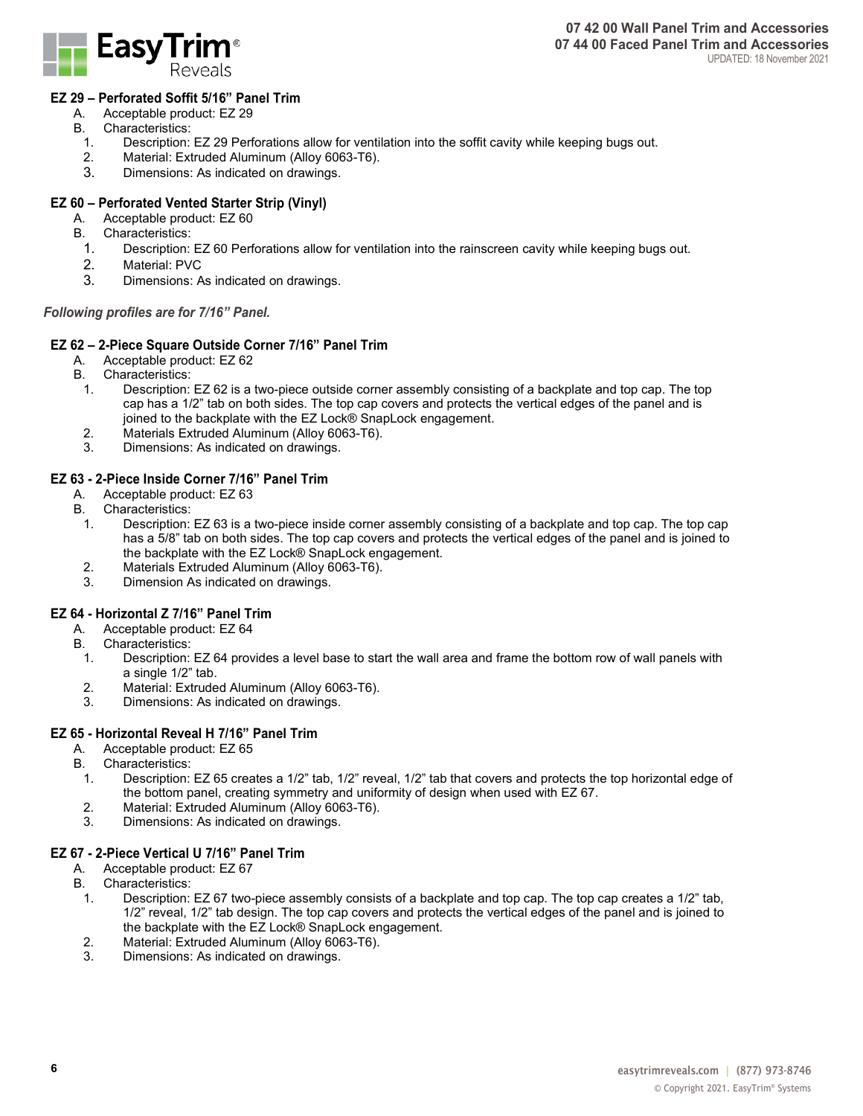

#### **EZ 29 – Perforated Soffit 5/16" Panel Trim**

- A. Acceptable product: EZ 29
- B. Characteristics:
	- 1. Description: EZ 29 Perforations allow for ventilation into the soffit cavity while keeping bugs out.
- Material: Extruded Aluminum (Alloy 6063-T6).
- 3. Dimensions: As indicated on drawings.

## **EZ 60 – Perforated Vented Starter Strip (Vinyl)**

- A. Acceptable product: EZ 60
- B. Characteristics:
	- 1. Description: EZ 60 Perforations allow for ventilation into the rainscreen cavity while keeping bugs out.
	- 2. Material: PVC<br>3. Dimensions: A
	- Dimensions: As indicated on drawings.

#### *Following profiles are for 7/16" Panel.*

#### **EZ 62 – 2-Piece Square Outside Corner 7/16" Panel Trim**

- A. Acceptable product: EZ 62
- B. Characteristics:
	- 1. Description: EZ 62 is a two-piece outside corner assembly consisting of a backplate and top cap. The top cap has a 1/2" tab on both sides. The top cap covers and protects the vertical edges of the panel and is joined to the backplate with the EZ Lock® SnapLock engagement.
	- 2. Materials Extruded Aluminum (Alloy 6063-T6).
	- 3. Dimensions: As indicated on drawings.

#### **EZ 63 - 2-Piece Inside Corner 7/16" Panel Trim**

- A. Acceptable product: EZ 63<br>B. Characteristics:
- Characteristics:
- 1. Description: EZ 63 is a two-piece inside corner assembly consisting of a backplate and top cap. The top cap has a 5/8" tab on both sides. The top cap covers and protects the vertical edges of the panel and is joined to the backplate with the EZ Lock® SnapLock engagement.
- 2. Materials Extruded Aluminum (Alloy 6063-T6).
- 3. Dimension As indicated on drawings.

#### **EZ 64 - Horizontal Z 7/16" Panel Trim**

- A. Acceptable product: EZ 64<br>B. Characteristics:
- Characteristics:
- 1. Description: EZ 64 provides a level base to start the wall area and frame the bottom row of wall panels with a single 1/2" tab.
- 2. Material: Extruded Aluminum (Alloy 6063-T6).
- 3. Dimensions: As indicated on drawings.

#### **EZ 65 - Horizontal Reveal H 7/16" Panel Trim**

- A. Acceptable product: EZ 65
- B. Characteristics:
- 1. Description: EZ 65 creates a 1/2" tab, 1/2" reveal, 1/2" tab that covers and protects the top horizontal edge of the bottom panel, creating symmetry and uniformity of design when used with EZ 67.
- 2. Material: Extruded Aluminum (Alloy 6063-T6).
- 3. Dimensions: As indicated on drawings.

#### **EZ 67 - 2-Piece Vertical U 7/16" Panel Trim**

- A. Acceptable product: EZ 67<br>B. Characteristics:
- . Characteristics:<br>1. Description:
- Description: EZ 67 two-piece assembly consists of a backplate and top cap. The top cap creates a 1/2" tab, 1/2" reveal, 1/2" tab design. The top cap covers and protects the vertical edges of the panel and is joined to the backplate with the EZ Lock® SnapLock engagement.
- 2. Material: Extruded Aluminum (Alloy 6063-T6).
- Dimensions: As indicated on drawings.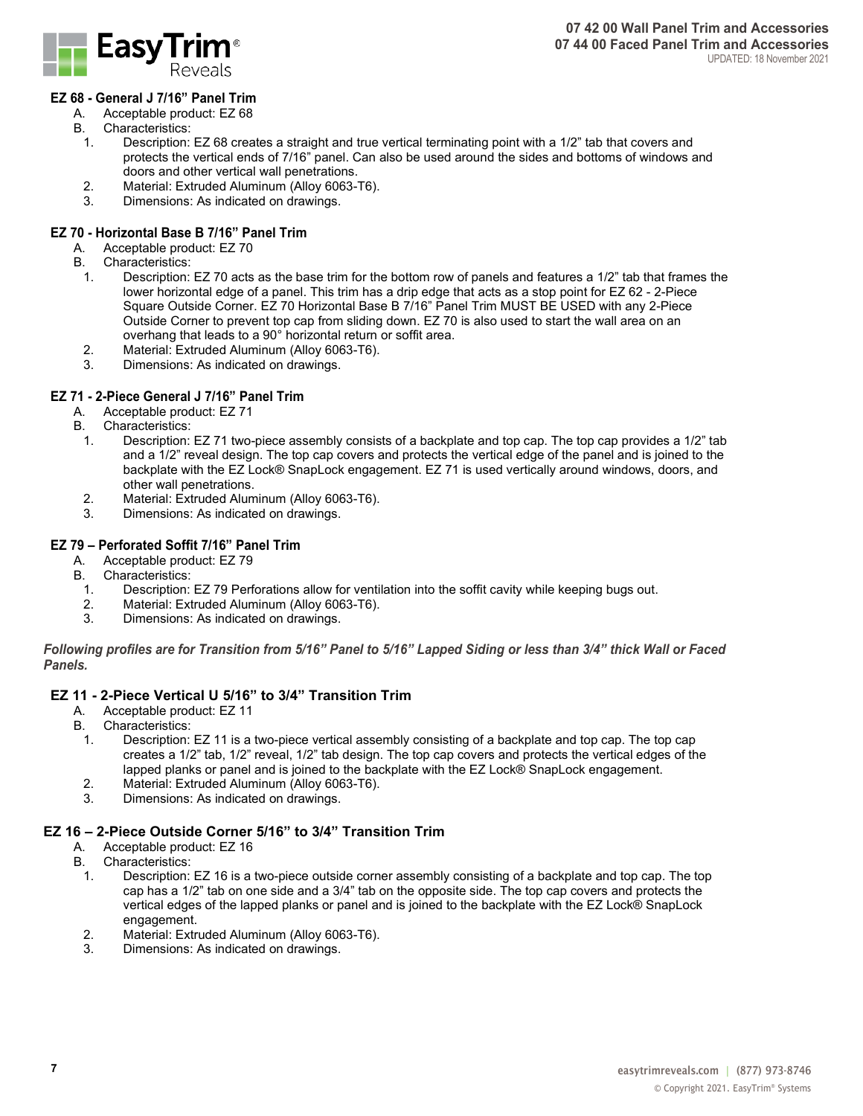

## **EZ 68 - General J 7/16" Panel Trim**

- A. Acceptable product: EZ 68<br>B. Characteristics:
- . Characteristics:<br>1. Description:
	- Description: EZ 68 creates a straight and true vertical terminating point with a 1/2" tab that covers and protects the vertical ends of 7/16" panel. Can also be used around the sides and bottoms of windows and doors and other vertical wall penetrations.
- 2. Material: Extruded Aluminum (Alloy 6063-T6).<br>3. Dimensions: As indicated on drawings.
- Dimensions: As indicated on drawings.

## **EZ 70 - Horizontal Base B 7/16" Panel Trim**

- A. Acceptable product: EZ 70
- B. Characteristics:<br>1 Description
	- Description: EZ 70 acts as the base trim for the bottom row of panels and features a 1/2" tab that frames the lower horizontal edge of a panel. This trim has a drip edge that acts as a stop point for EZ 62 - 2-Piece Square Outside Corner. EZ 70 Horizontal Base B 7/16" Panel Trim MUST BE USED with any 2-Piece Outside Corner to prevent top cap from sliding down. EZ 70 is also used to start the wall area on an overhang that leads to a 90° horizontal return or soffit area.
	- 2. Material: Extruded Aluminum (Alloy 6063-T6).
	- Dimensions: As indicated on drawings.

#### **EZ 71 - 2-Piece General J 7/16" Panel Trim**

- A. Acceptable product: EZ 71
- B. Characteristics:<br>1 Description
	- Description: EZ 71 two-piece assembly consists of a backplate and top cap. The top cap provides a 1/2" tab and a 1/2" reveal design. The top cap covers and protects the vertical edge of the panel and is joined to the backplate with the EZ Lock® SnapLock engagement. EZ 71 is used vertically around windows, doors, and other wall penetrations.
	- 2. Material: Extruded Aluminum (Alloy 6063-T6).<br>3. Dimensions: As indicated on drawings.
	- Dimensions: As indicated on drawings.

## **EZ 79 – Perforated Soffit 7/16" Panel Trim**

- A. Acceptable product: EZ 79
- B. Characteristics:<br>1. Description:
- 1. Description: EZ 79 Perforations allow for ventilation into the soffit cavity while keeping bugs out.
- 2. Material: Extruded Aluminum (Alloy 6063-T6).<br>3. Dimensions: As indicated on drawings
- Dimensions: As indicated on drawings.

*Following profiles are for Transition from 5/16" Panel to 5/16" Lapped Siding or less than 3/4" thick Wall or Faced Panels.*

# **EZ 11 - 2-Piece Vertical U 5/16" to 3/4" Transition Trim**

- Acceptable product: EZ 11
- B. Characteristics:
	- 1. Description: EZ 11 is a two-piece vertical assembly consisting of a backplate and top cap. The top cap creates a 1/2" tab, 1/2" reveal, 1/2" tab design. The top cap covers and protects the vertical edges of the lapped planks or panel and is joined to the backplate with the EZ Lock® SnapLock engagement.
	- 2. Material: Extruded Aluminum (Alloy 6063-T6).
- 3. Dimensions: As indicated on drawings.

#### **EZ 16 – 2-Piece Outside Corner 5/16" to 3/4" Transition Trim**

- A. Acceptable product: EZ 16
- B. Characteristics:<br>1. Description:
	- Description: EZ 16 is a two-piece outside corner assembly consisting of a backplate and top cap. The top cap has a 1/2" tab on one side and a 3/4" tab on the opposite side. The top cap covers and protects the vertical edges of the lapped planks or panel and is joined to the backplate with the EZ Lock® SnapLock engagement.
- 2. Material: Extruded Aluminum (Alloy 6063-T6).
- Dimensions: As indicated on drawings.